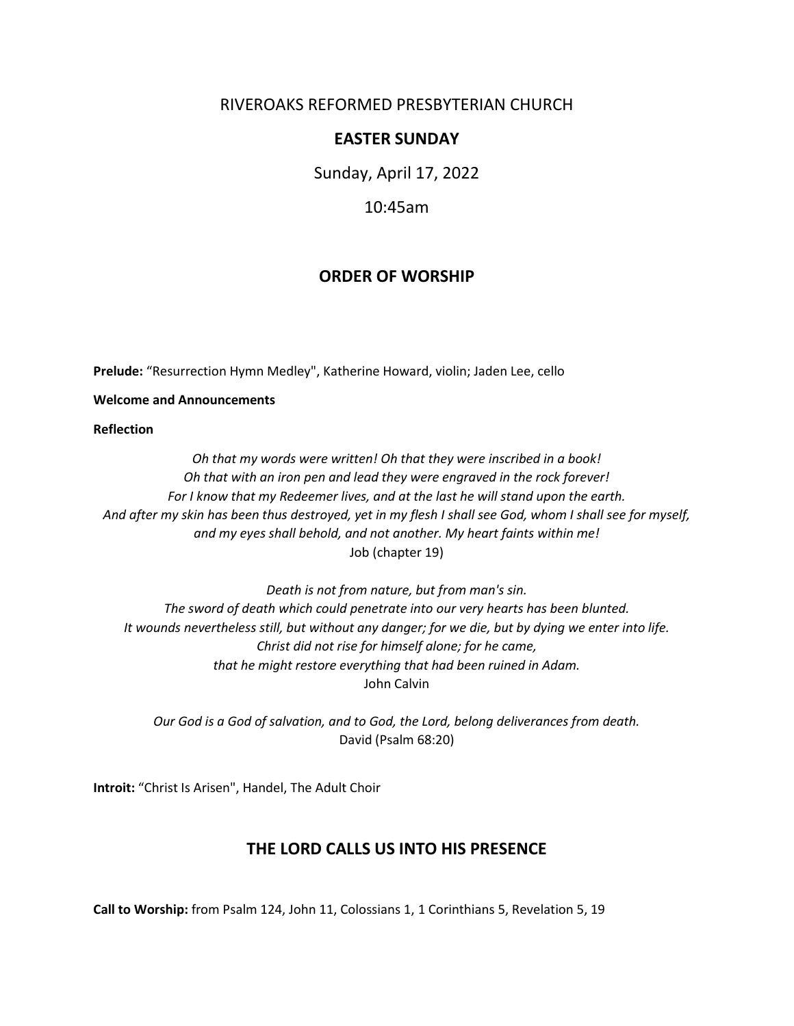# RIVEROAKS REFORMED PRESBYTERIAN CHURCH

## **EASTER SUNDAY**

Sunday, April 17, 2022

10:45am

# **ORDER OF WORSHIP**

**Prelude:** "Resurrection Hymn Medley", Katherine Howard, violin; Jaden Lee, cello

#### **Welcome and Announcements**

**Reflection** 

*Oh that my words were written! Oh that they were inscribed in a book! Oh that with an iron pen and lead they were engraved in the rock forever! For I know that my Redeemer lives, and at the last he will stand upon the earth. And after my skin has been thus destroyed, yet in my flesh I shall see God, whom I shall see for myself, and my eyes shall behold, and not another. My heart faints within me!* Job (chapter 19)

*Death is not from nature, but from man's sin. The sword of death which could penetrate into our very hearts has been blunted. It wounds nevertheless still, but without any danger; for we die, but by dying we enter into life. Christ did not rise for himself alone; for he came, that he might restore everything that had been ruined in Adam.* John Calvin

*Our God is a God of salvation, and to God, the Lord, belong deliverances from death.* David (Psalm 68:20)

**Introit:** "Christ Is Arisen", Handel, The Adult Choir

# **THE LORD CALLS US INTO HIS PRESENCE**

**Call to Worship:** from Psalm 124, John 11, Colossians 1, 1 Corinthians 5, Revelation 5, 19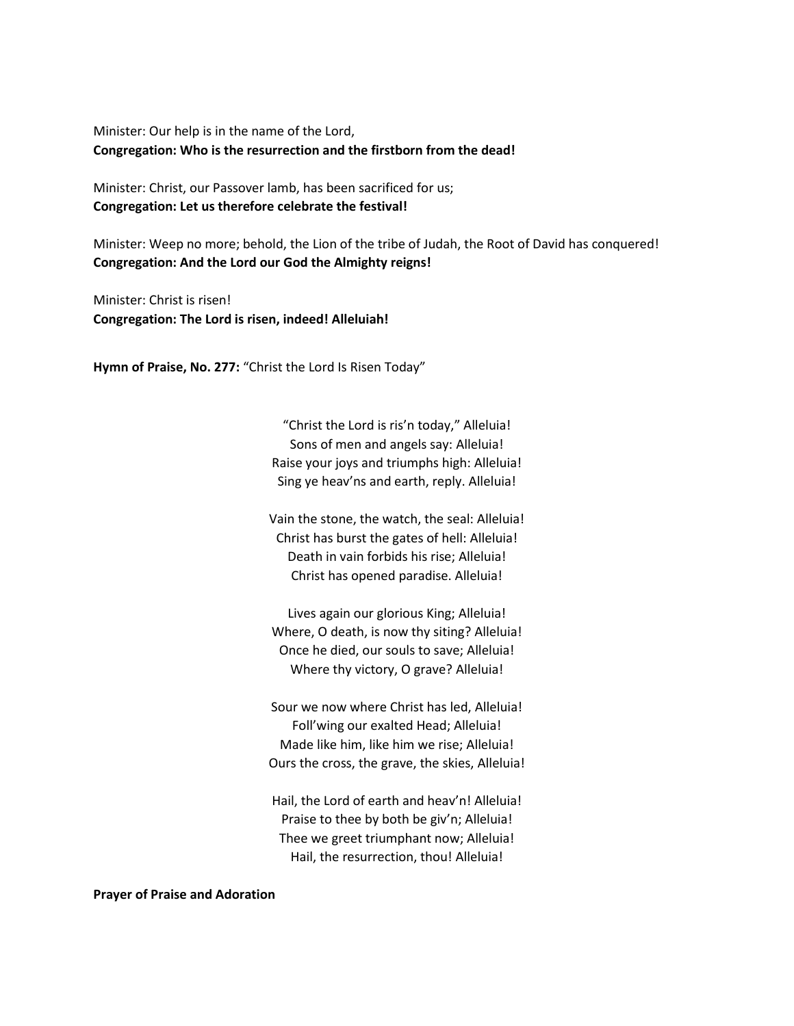Minister: Our help is in the name of the Lord, **Congregation: Who is the resurrection and the firstborn from the dead!**

Minister: Christ, our Passover lamb, has been sacrificed for us; **Congregation: Let us therefore celebrate the festival!**

Minister: Weep no more; behold, the Lion of the tribe of Judah, the Root of David has conquered! **Congregation: And the Lord our God the Almighty reigns!**

Minister: Christ is risen! **Congregation: The Lord is risen, indeed! Alleluiah!** 

**Hymn of Praise, No. 277:** "Christ the Lord Is Risen Today"

"Christ the Lord is ris'n today," Alleluia! Sons of men and angels say: Alleluia! Raise your joys and triumphs high: Alleluia! Sing ye heav'ns and earth, reply. Alleluia!

Vain the stone, the watch, the seal: Alleluia! Christ has burst the gates of hell: Alleluia! Death in vain forbids his rise; Alleluia! Christ has opened paradise. Alleluia!

Lives again our glorious King; Alleluia! Where, O death, is now thy siting? Alleluia! Once he died, our souls to save; Alleluia! Where thy victory, O grave? Alleluia!

Sour we now where Christ has led, Alleluia! Foll'wing our exalted Head; Alleluia! Made like him, like him we rise; Alleluia! Ours the cross, the grave, the skies, Alleluia!

Hail, the Lord of earth and heav'n! Alleluia! Praise to thee by both be giv'n; Alleluia! Thee we greet triumphant now; Alleluia! Hail, the resurrection, thou! Alleluia!

#### **Prayer of Praise and Adoration**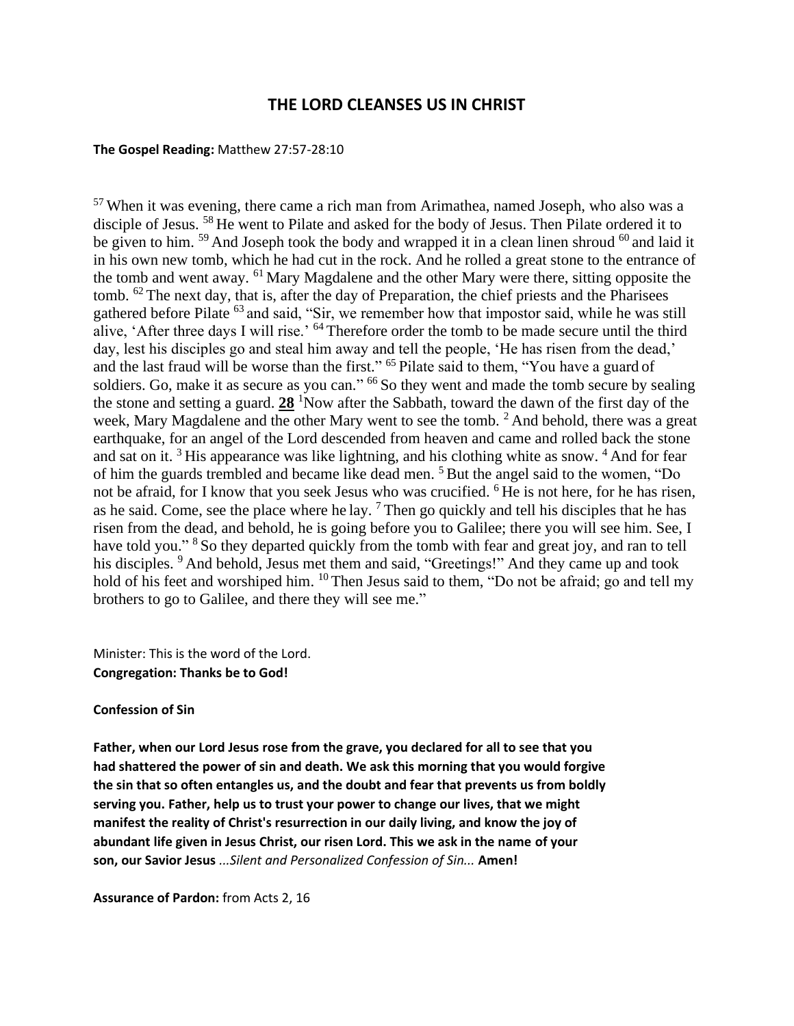### **THE LORD CLEANSES US IN CHRIST**

### **The Gospel Reading:** Matthew 27:57-28:10

<sup>57</sup> When it was evening, there came a rich man from Arimathea, named Joseph, who also was a disciple of Jesus. <sup>58</sup> He went to Pilate and asked for the body of Jesus. Then Pilate ordered it to be given to him. <sup>59</sup> And Joseph took the body and wrapped it in a clean linen shroud <sup>60</sup> and laid it in his own new tomb, which he had cut in the rock. And he rolled a great stone to the entrance of the tomb and went away. <sup>61</sup> Mary Magdalene and the other Mary were there, sitting opposite the tomb. <sup>62</sup> The next day, that is, after the day of Preparation, the chief priests and the Pharisees gathered before Pilate <sup>63</sup> and said, "Sir, we remember how that impostor said, while he was still alive, 'After three days I will rise.' <sup>64</sup> Therefore order the tomb to be made secure until the third day, lest his disciples go and steal him away and tell the people, 'He has risen from the dead,' and the last fraud will be worse than the first." <sup>65</sup> Pilate said to them, "You have a guard of soldiers. Go, make it as secure as you can." <sup>66</sup> So they went and made the tomb secure by sealing the stone and setting a guard. **28** <sup>1</sup>Now after the Sabbath, toward the dawn of the first day of the week, Mary Magdalene and the other Mary went to see the tomb. <sup>2</sup> And behold, there was a great earthquake, for an angel of the Lord descended from heaven and came and rolled back the stone and sat on it.<sup>3</sup> His appearance was like lightning, and his clothing white as snow.<sup>4</sup> And for fear of him the guards trembled and became like dead men. <sup>5</sup> But the angel said to the women, "Do not be afraid, for I know that you seek Jesus who was crucified. <sup>6</sup> He is not here, for he has risen, as he said. Come, see the place where he lay.  $7$  Then go quickly and tell his disciples that he has risen from the dead, and behold, he is going before you to Galilee; there you will see him. See, I have told you."<sup>8</sup> So they departed quickly from the tomb with fear and great joy, and ran to tell his disciples. <sup>9</sup> And behold, Jesus met them and said, "Greetings!" And they came up and took hold of his feet and worshiped him. <sup>10</sup> Then Jesus said to them, "Do not be afraid; go and tell my brothers to go to Galilee, and there they will see me."

Minister: This is the word of the Lord. **Congregation: Thanks be to God!**

#### **Confession of Sin**

**Father, when our Lord Jesus rose from the grave, you declared for all to see that you had shattered the power of sin and death. We ask this morning that you would forgive the sin that so often entangles us, and the doubt and fear that prevents us from boldly serving you. Father, help us to trust your power to change our lives, that we might manifest the reality of Christ's resurrection in our daily living, and know the joy of abundant life given in Jesus Christ, our risen Lord. This we ask in the name of your son, our Savior Jesus** *...Silent and Personalized Confession of Sin...* **Amen!**

#### **Assurance of Pardon:** from Acts 2, 16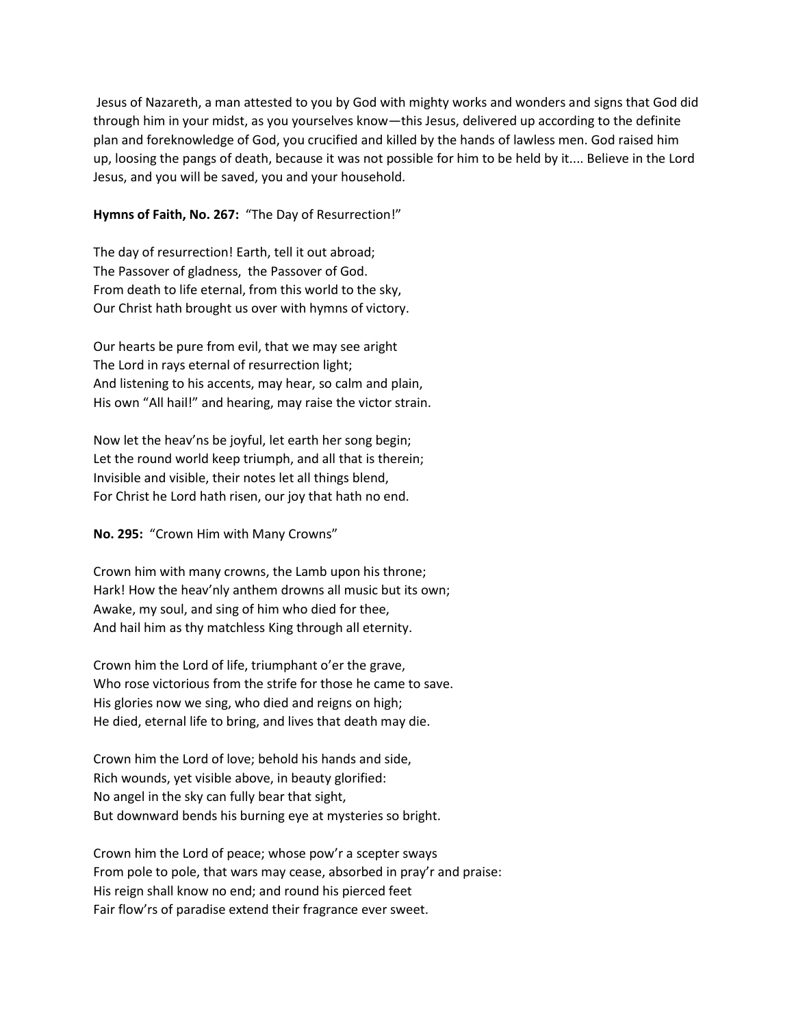Jesus of Nazareth, a man attested to you by God with mighty works and wonders and signs that God did through him in your midst, as you yourselves know—this Jesus, delivered up according to the definite plan and foreknowledge of God, you crucified and killed by the hands of lawless men. God raised him up, loosing the pangs of death, because it was not possible for him to be held by it.... Believe in the Lord Jesus, and you will be saved, you and your household.

**Hymns of Faith, No. 267:** "The Day of Resurrection!"

The day of resurrection! Earth, tell it out abroad; The Passover of gladness, the Passover of God. From death to life eternal, from this world to the sky, Our Christ hath brought us over with hymns of victory.

Our hearts be pure from evil, that we may see aright The Lord in rays eternal of resurrection light; And listening to his accents, may hear, so calm and plain, His own "All hail!" and hearing, may raise the victor strain.

Now let the heav'ns be joyful, let earth her song begin; Let the round world keep triumph, and all that is therein; Invisible and visible, their notes let all things blend, For Christ he Lord hath risen, our joy that hath no end.

#### **No. 295:** "Crown Him with Many Crowns"

Crown him with many crowns, the Lamb upon his throne; Hark! How the heav'nly anthem drowns all music but its own; Awake, my soul, and sing of him who died for thee, And hail him as thy matchless King through all eternity.

Crown him the Lord of life, triumphant o'er the grave, Who rose victorious from the strife for those he came to save. His glories now we sing, who died and reigns on high; He died, eternal life to bring, and lives that death may die.

Crown him the Lord of love; behold his hands and side, Rich wounds, yet visible above, in beauty glorified: No angel in the sky can fully bear that sight, But downward bends his burning eye at mysteries so bright.

Crown him the Lord of peace; whose pow'r a scepter sways From pole to pole, that wars may cease, absorbed in pray'r and praise: His reign shall know no end; and round his pierced feet Fair flow'rs of paradise extend their fragrance ever sweet.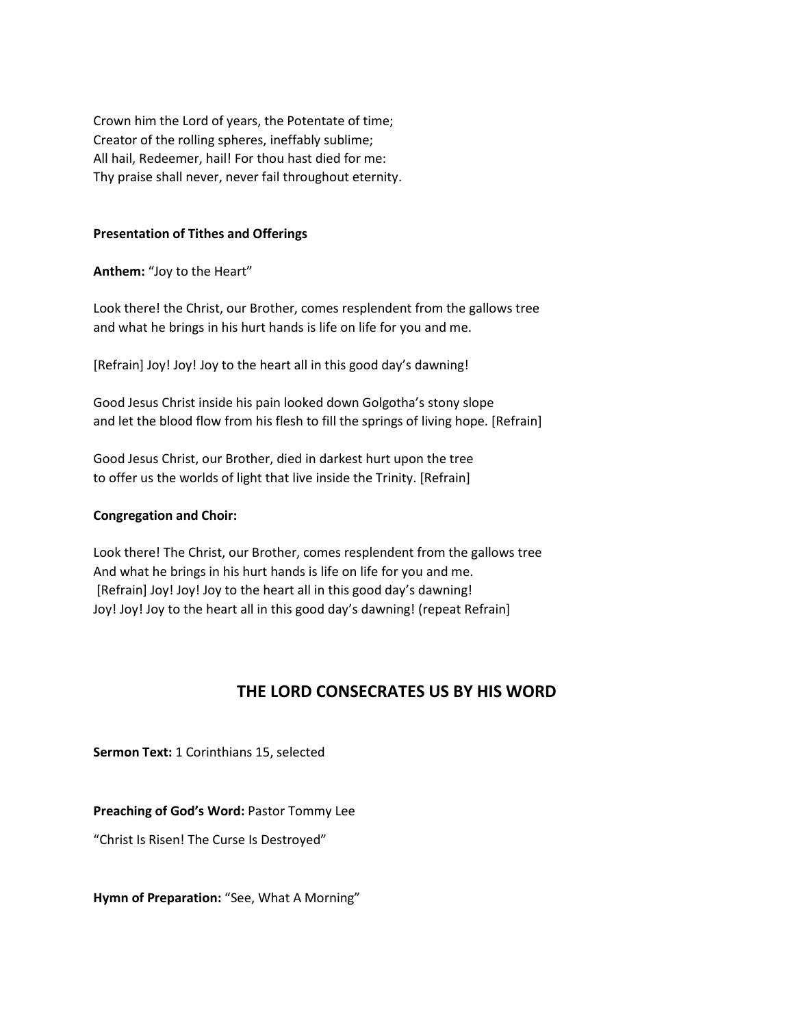Crown him the Lord of years, the Potentate of time; Creator of the rolling spheres, ineffably sublime; All hail, Redeemer, hail! For thou hast died for me: Thy praise shall never, never fail throughout eternity.

#### **Presentation of Tithes and Offerings**

**Anthem:** "Joy to the Heart"

Look there! the Christ, our Brother, comes resplendent from the gallows tree and what he brings in his hurt hands is life on life for you and me.

[Refrain] Joy! Joy! Joy to the heart all in this good day's dawning!

Good Jesus Christ inside his pain looked down Golgotha's stony slope and let the blood flow from his flesh to fill the springs of living hope. [Refrain]

Good Jesus Christ, our Brother, died in darkest hurt upon the tree to offer us the worlds of light that live inside the Trinity. [Refrain]

### **Congregation and Choir:**

Look there! The Christ, our Brother, comes resplendent from the gallows tree And what he brings in his hurt hands is life on life for you and me. [Refrain] Joy! Joy! Joy to the heart all in this good day's dawning! Joy! Joy! Joy to the heart all in this good day's dawning! (repeat Refrain]

# **THE LORD CONSECRATES US BY HIS WORD**

**Sermon Text:** 1 Corinthians 15, selected

**Preaching of God's Word:** Pastor Tommy Lee

"Christ Is Risen! The Curse Is Destroyed"

**Hymn of Preparation:** "See, What A Morning"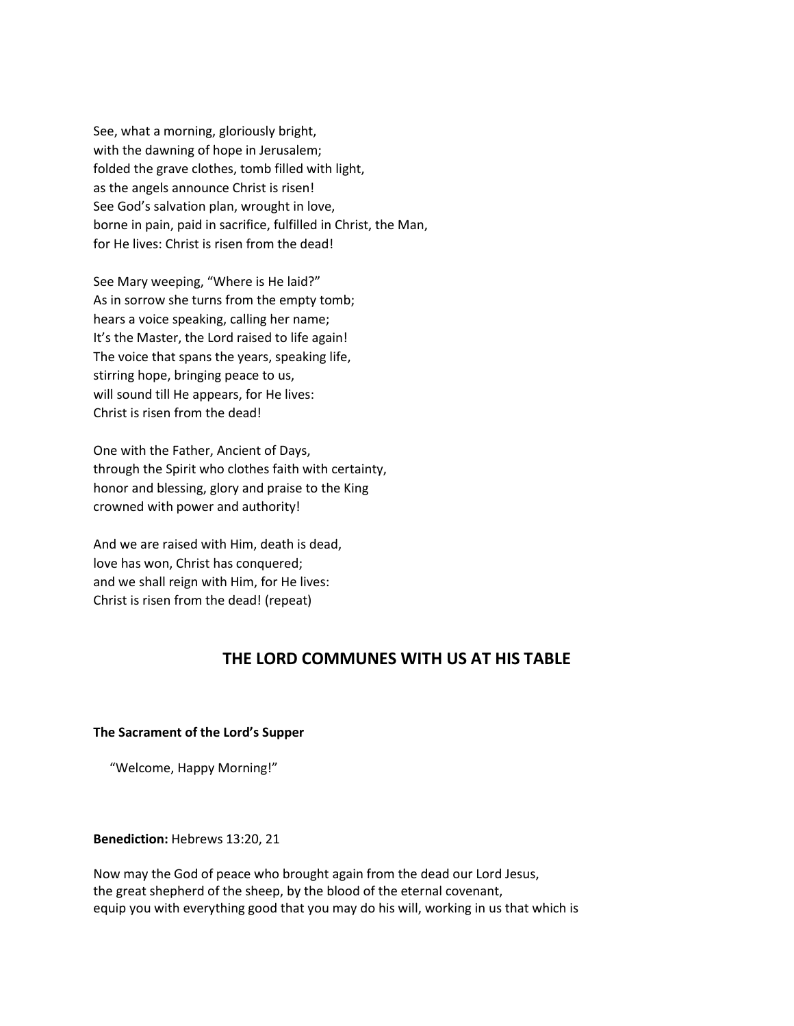See, what a morning, gloriously bright, with the dawning of hope in Jerusalem; folded the grave clothes, tomb filled with light, as the angels announce Christ is risen! See God's salvation plan, wrought in love, borne in pain, paid in sacrifice, fulfilled in Christ, the Man, for He lives: Christ is risen from the dead!

See Mary weeping, "Where is He laid?" As in sorrow she turns from the empty tomb; hears a voice speaking, calling her name; It's the Master, the Lord raised to life again! The voice that spans the years, speaking life, stirring hope, bringing peace to us, will sound till He appears, for He lives: Christ is risen from the dead!

One with the Father, Ancient of Days, through the Spirit who clothes faith with certainty, honor and blessing, glory and praise to the King crowned with power and authority!

And we are raised with Him, death is dead, love has won, Christ has conquered; and we shall reign with Him, for He lives: Christ is risen from the dead! (repeat)

## **THE LORD COMMUNES WITH US AT HIS TABLE**

#### **The Sacrament of the Lord's Supper**

"Welcome, Happy Morning!"

#### **Benediction:** Hebrews 13:20, 21

Now may the God of peace who brought again from the dead our Lord Jesus, the great shepherd of the sheep, by the blood of the eternal covenant, equip you with everything good that you may do his will, working in us that which is